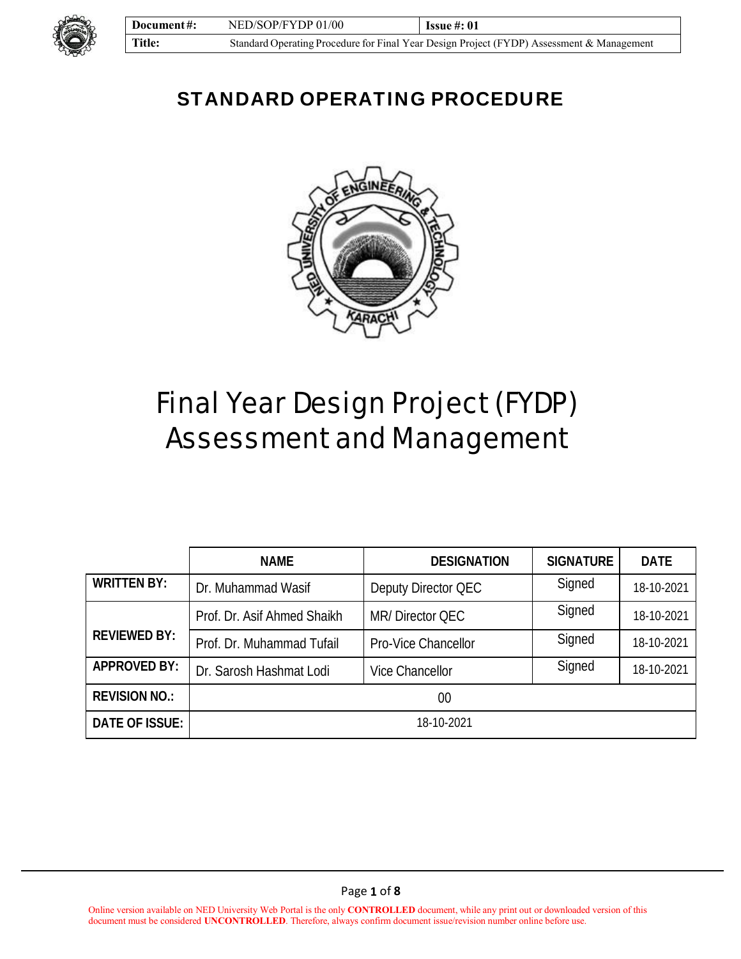

# STANDARD OPERATING PROCEDURE



# Final Year Design Project (FYDP) Assessment and Management

|                      | <b>NAME</b>                 | <b>DESIGNATION</b>     | <b>SIGNATURE</b> | <b>DATE</b> |
|----------------------|-----------------------------|------------------------|------------------|-------------|
| <b>WRITTEN BY:</b>   | Dr. Muhammad Wasif          | Deputy Director QEC    | Signed           | 18-10-2021  |
|                      | Prof. Dr. Asif Ahmed Shaikh | MR/Director QEC        | Signed           | 18-10-2021  |
| <b>REVIEWED BY:</b>  | Prof. Dr. Muhammad Tufail   | Pro-Vice Chancellor    | Signed           | 18-10-2021  |
| <b>APPROVED BY:</b>  | Dr. Sarosh Hashmat Lodi     | <b>Vice Chancellor</b> | Signed           | 18-10-2021  |
| <b>REVISION NO.:</b> | $00\,$                      |                        |                  |             |
| DATE OF ISSUE:       | 18-10-2021                  |                        |                  |             |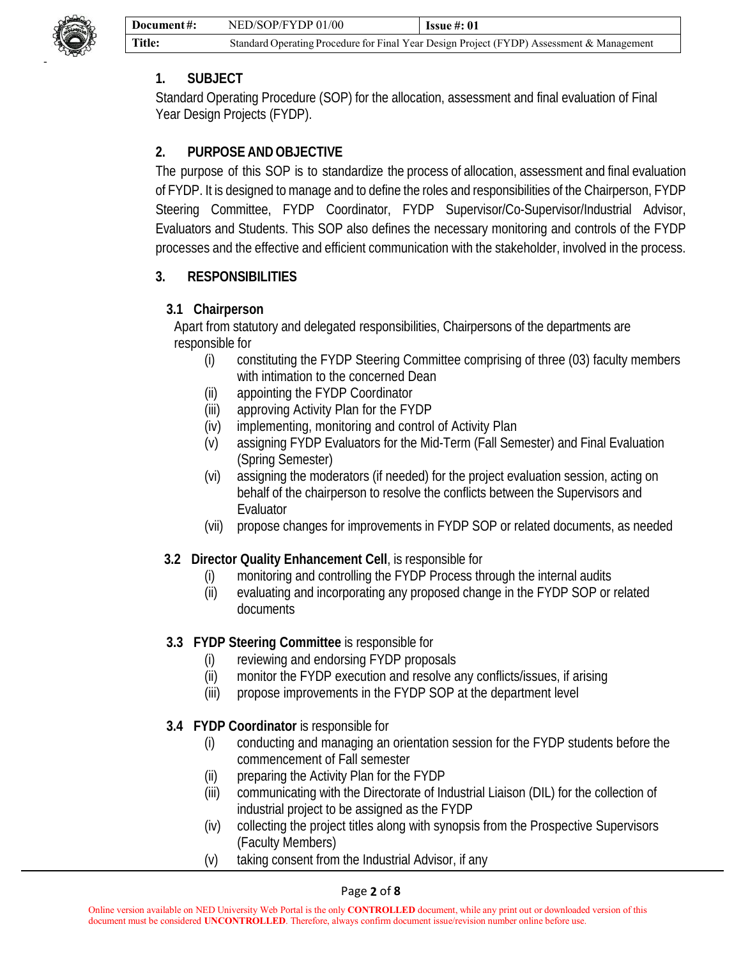

#### **1. SUBJECT**

Standard Operating Procedure (SOP) for the allocation, assessment and final evaluation of Final Year Design Projects (FYDP).

### **2. PURPOSE AND OBJECTIVE**

The purpose of this SOP is to standardize the process of allocation, assessment and final evaluation of FYDP. It is designed to manage and to define the roles and responsibilities of the Chairperson, FYDP Steering Committee, FYDP Coordinator, FYDP Supervisor/Co-Supervisor/Industrial Advisor, Evaluators and Students. This SOP also defines the necessary monitoring and controls of the FYDP processes and the effective and efficient communication with the stakeholder, involved in the process.

#### **3. RESPONSIBILITIES**

#### **3.1 Chairperson**

Apart from statutory and delegated responsibilities, Chairpersons of the departments are responsible for

- (i) constituting the FYDP Steering Committee comprising of three (03) faculty members with intimation to the concerned Dean
- (ii) appointing the FYDP Coordinator
- (iii) approving Activity Plan for the FYDP
- (iv) implementing, monitoring and control of Activity Plan
- (v) assigning FYDP Evaluators for the Mid-Term (Fall Semester) and Final Evaluation (Spring Semester)
- (vi) assigning the moderators (if needed) for the project evaluation session, acting on behalf of the chairperson to resolve the conflicts between the Supervisors and Evaluator
- (vii) propose changes for improvements in FYDP SOP or related documents, as needed

#### **3.2 Director Quality Enhancement Cell**, is responsible for

- (i) monitoring and controlling the FYDP Process through the internal audits
- (ii) evaluating and incorporating any proposed change in the FYDP SOP or related documents

#### **3.3****FYDP Steering Committee** is responsible for

- (i) reviewing and endorsing FYDP proposals
- (ii) monitor the FYDP execution and resolve any conflicts/issues, if arising
- (iii) propose improvements in the FYDP SOP at the department level

#### **3.4 FYDP Coordinator** is responsible for

- (i) conducting and managing an orientation session for the FYDP students before the commencement of Fall semester
- (ii) preparing the Activity Plan for the FYDP
- (iii) communicating with the Directorate of Industrial Liaison (DIL) for the collection of industrial project to be assigned as the FYDP
- (iv) collecting the project titles along with synopsis from the Prospective Supervisors (Faculty Members)
- (v) taking consent from the Industrial Advisor, if any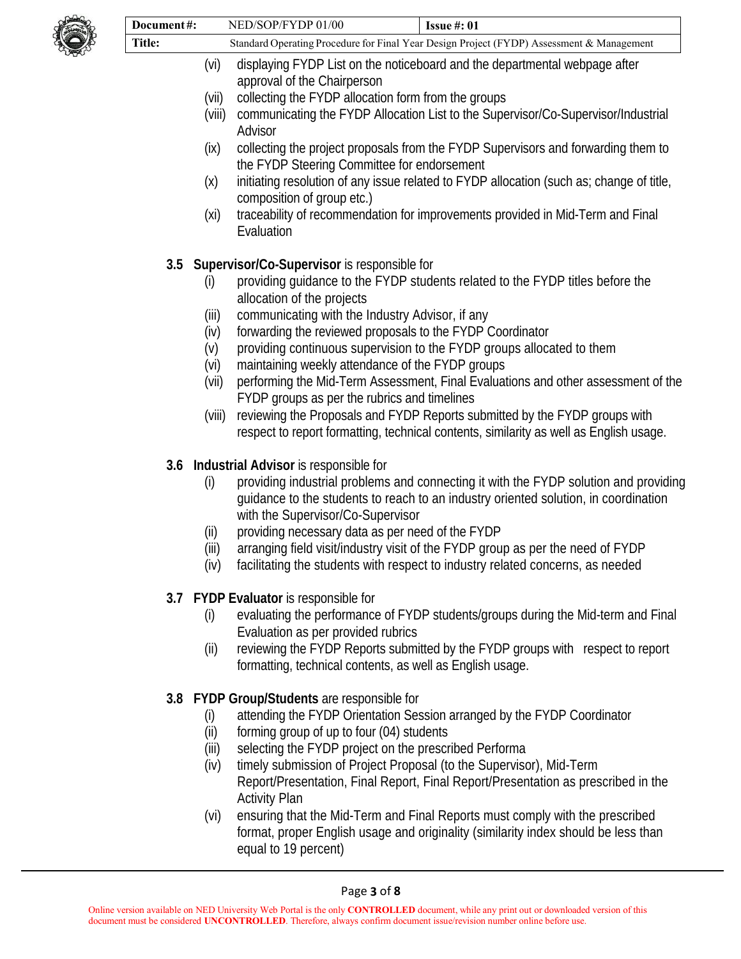

| Document#:                                                                                                         |               | NED/SOP/FYDP 01/00<br><b>Issue #: 01</b>                                                                                                                             |  |  |
|--------------------------------------------------------------------------------------------------------------------|---------------|----------------------------------------------------------------------------------------------------------------------------------------------------------------------|--|--|
| <b>Title:</b>                                                                                                      |               | Standard Operating Procedure for Final Year Design Project (FYDP) Assessment & Management                                                                            |  |  |
|                                                                                                                    | (vi)          | displaying FYDP List on the noticeboard and the departmental webpage after                                                                                           |  |  |
|                                                                                                                    | (vii)         | approval of the Chairperson<br>collecting the FYDP allocation form from the groups                                                                                   |  |  |
|                                                                                                                    | (viii)        | communicating the FYDP Allocation List to the Supervisor/Co-Supervisor/Industrial                                                                                    |  |  |
|                                                                                                                    |               | Advisor                                                                                                                                                              |  |  |
|                                                                                                                    | (ix)          | collecting the project proposals from the FYDP Supervisors and forwarding them to<br>the FYDP Steering Committee for endorsement                                     |  |  |
|                                                                                                                    | (x)           | initiating resolution of any issue related to FYDP allocation (such as; change of title,<br>composition of group etc.)                                               |  |  |
|                                                                                                                    |               |                                                                                                                                                                      |  |  |
|                                                                                                                    | (xi)          | traceability of recommendation for improvements provided in Mid-Term and Final<br>Evaluation                                                                         |  |  |
| 3.5                                                                                                                |               | Supervisor/Co-Supervisor is responsible for                                                                                                                          |  |  |
| providing guidance to the FYDP students related to the FYDP titles before the<br>(i)<br>allocation of the projects |               |                                                                                                                                                                      |  |  |
|                                                                                                                    | (iii)         | communicating with the Industry Advisor, if any                                                                                                                      |  |  |
|                                                                                                                    | (iv)          | forwarding the reviewed proposals to the FYDP Coordinator                                                                                                            |  |  |
|                                                                                                                    | (V)           | providing continuous supervision to the FYDP groups allocated to them                                                                                                |  |  |
|                                                                                                                    | (vi)<br>(vii) | maintaining weekly attendance of the FYDP groups<br>performing the Mid-Term Assessment, Final Evaluations and other assessment of the                                |  |  |
|                                                                                                                    |               | FYDP groups as per the rubrics and timelines                                                                                                                         |  |  |
|                                                                                                                    | (viii)        | reviewing the Proposals and FYDP Reports submitted by the FYDP groups with<br>respect to report formatting, technical contents, similarity as well as English usage. |  |  |
|                                                                                                                    |               | 3.6 Industrial Advisor is responsible for                                                                                                                            |  |  |
|                                                                                                                    | (i)           | providing industrial problems and connecting it with the FYDP solution and providing                                                                                 |  |  |
|                                                                                                                    |               | guidance to the students to reach to an industry oriented solution, in coordination<br>with the Supervisor/Co-Supervisor                                             |  |  |
|                                                                                                                    | (ii)          | providing necessary data as per need of the FYDP                                                                                                                     |  |  |
|                                                                                                                    | (iii)         | arranging field visit/industry visit of the FYDP group as per the need of FYDP                                                                                       |  |  |
|                                                                                                                    | (iv)          | facilitating the students with respect to industry related concerns, as needed                                                                                       |  |  |
|                                                                                                                    |               | 3.7 FYDP Evaluator is responsible for                                                                                                                                |  |  |
|                                                                                                                    | (i)           | evaluating the performance of FYDP students/groups during the Mid-term and Final                                                                                     |  |  |
|                                                                                                                    |               | Evaluation as per provided rubrics                                                                                                                                   |  |  |
|                                                                                                                    | (ii)          | reviewing the FYDP Reports submitted by the FYDP groups with respect to report<br>formatting, technical contents, as well as English usage.                          |  |  |
|                                                                                                                    |               | 3.8 FYDP Group/Students are responsible for                                                                                                                          |  |  |
|                                                                                                                    | (i)           | attending the FYDP Orientation Session arranged by the FYDP Coordinator                                                                                              |  |  |
|                                                                                                                    | (ii)          | forming group of up to four (04) students                                                                                                                            |  |  |
|                                                                                                                    | (iii)<br>(iv) | selecting the FYDP project on the prescribed Performa<br>timely submission of Project Proposal (to the Supervisor), Mid-Term                                         |  |  |
|                                                                                                                    |               | Report/Presentation, Final Report, Final Report/Presentation as prescribed in the                                                                                    |  |  |
|                                                                                                                    |               | <b>Activity Plan</b>                                                                                                                                                 |  |  |

(vi) ensuring that the Mid-Term and Final Reports must comply with the prescribed format, proper English usage and originality (similarity index should be less than equal to 19 percent)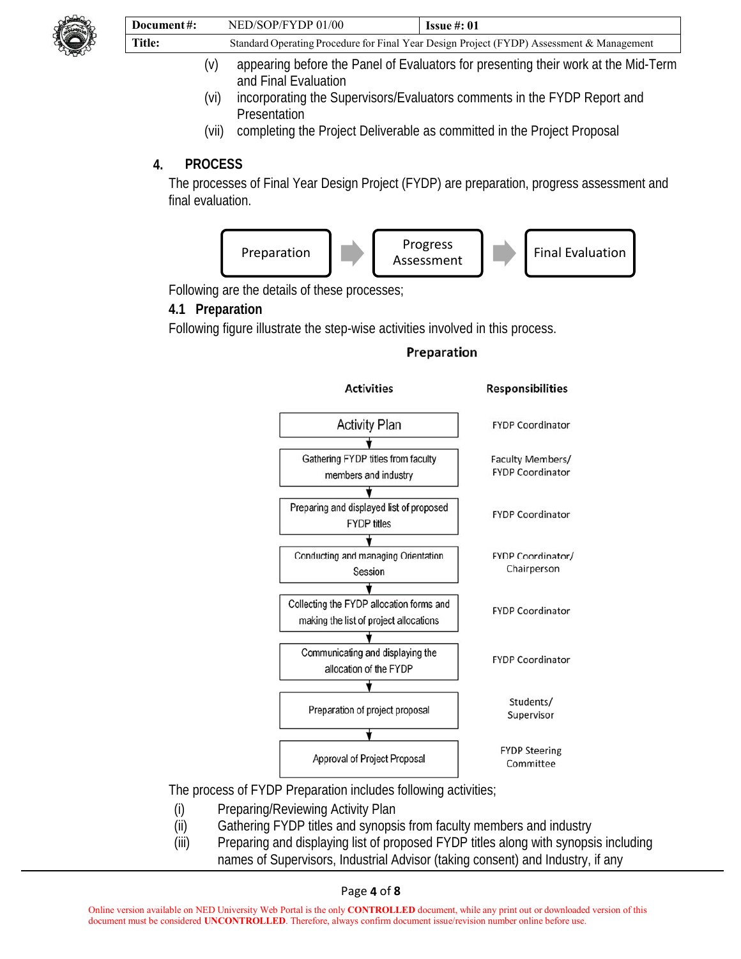

| Document#: | NED/SOP/FYDP 01/00                                                                        | <b>Issue #: 01</b> |
|------------|-------------------------------------------------------------------------------------------|--------------------|
| Title:     | Standard Operating Procedure for Final Year Design Project (FYDP) Assessment & Management |                    |

- (v) appearing before the Panel of Evaluators for presenting their work at the Mid-Term and Final Evaluation
- (vi) incorporating the Supervisors/Evaluators comments in the FYDP Report and Presentation
- (vii) completing the Project Deliverable as committed in the Project Proposal

#### **4. PROCESS**

The processes of Final Year Design Project (FYDP) are preparation, progress assessment and final evaluation.



Following are the details of these processes;

#### **4.1 Preparation**

Following figure illustrate the step-wise activities involved in this process.



Preparation

The process of FYDP Preparation includes following activities;

- (i) Preparing/Reviewing Activity Plan
- (ii) Gathering FYDP titles and synopsis from faculty members and industry
- (iii) Preparing and displaying list of proposed FYDP titles along with synopsis including names of Supervisors, Industrial Advisor (taking consent) and Industry, if any

Page **4** of **8**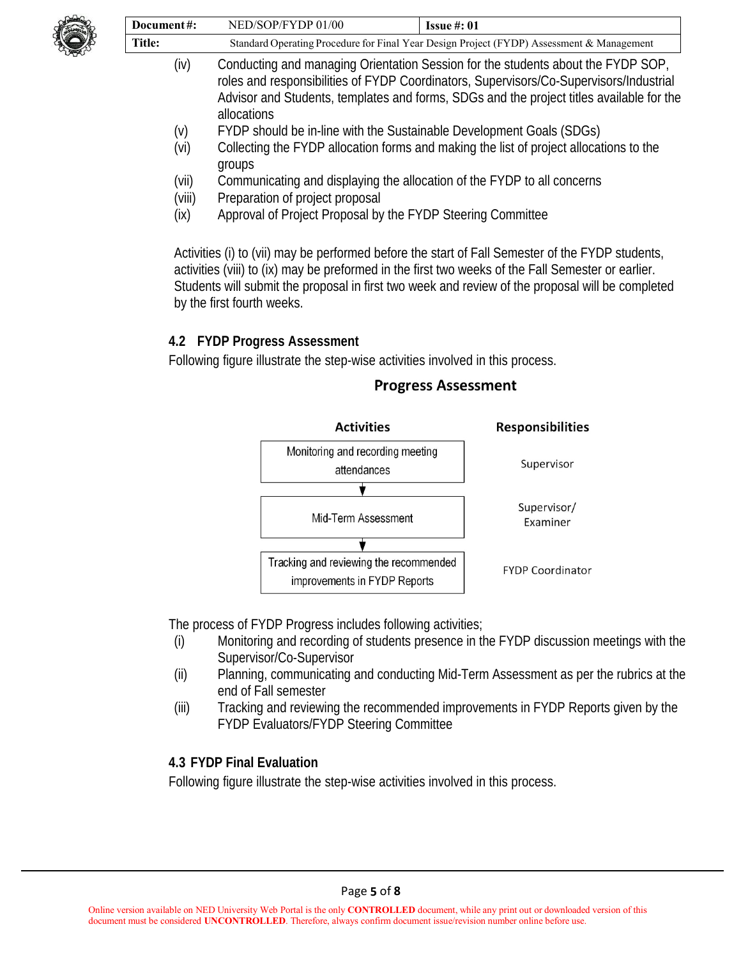

| Document#: | NED/SOP/FYDP 01/00                                                                        | <b>Issue #: 01</b> |
|------------|-------------------------------------------------------------------------------------------|--------------------|
| Title:     | Standard Operating Procedure for Final Year Design Project (FYDP) Assessment & Management |                    |

- (iv) Conducting and managing Orientation Session for the students about the FYDP SOP, roles and responsibilities of FYDP Coordinators, Supervisors/Co-Supervisors/Industrial Advisor and Students, templates and forms, SDGs and the project titles available for the allocations
- (v) FYDP should be in-line with the Sustainable Development Goals (SDGs)
- (vi) Collecting the FYDP allocation forms and making the list of project allocations to the groups
- (vii) Communicating and displaying the allocation of the FYDP to all concerns
- (viii) Preparation of project proposal
- (ix) Approval of Project Proposal by the FYDP Steering Committee

Activities (i) to (vii) may be performed before the start of Fall Semester of the FYDP students, activities (viii) to (ix) may be preformed in the first two weeks of the Fall Semester or earlier. Students will submit the proposal in first two week and review of the proposal will be completed by the first fourth weeks.

#### **4.2 FYDP Progress Assessment**

Following figure illustrate the step-wise activities involved in this process.

#### **Activities Responsibilities** Monitoring and recording meeting Supervisor attendances ÷ Supervisor/ Mid-Term Assessment Examiner Tracking and reviewing the recommended **FYDP Coordinator** improvements in FYDP Reports

#### **Progress Assessment**

The process of FYDP Progress includes following activities;

- (i) Monitoring and recording of students presence in the FYDP discussion meetings with the Supervisor/Co-Supervisor
- (ii) Planning, communicating and conducting Mid-Term Assessment as per the rubrics at the end of Fall semester
- (iii) Tracking and reviewing the recommended improvements in FYDP Reports given by the FYDP Evaluators/FYDP Steering Committee

#### **4.3 FYDP Final Evaluation**

Following figure illustrate the step-wise activities involved in this process.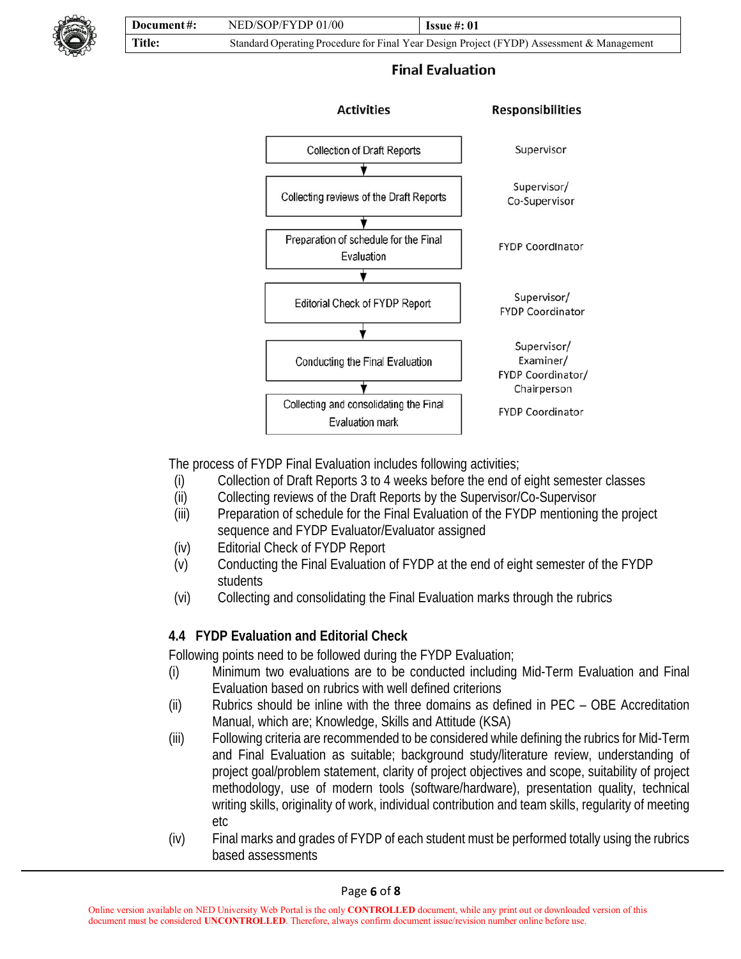

#### **Final Evaluation**



The process of FYDP Final Evaluation includes following activities;

- (i) Collection of Draft Reports 3 to 4 weeks before the end of eight semester classes
- (ii) Collecting reviews of the Draft Reports by the Supervisor/Co-Supervisor
- (iii) Preparation of schedule for the Final Evaluation of the FYDP mentioning the project sequence and FYDP Evaluator/Evaluator assigned
- (iv) Editorial Check of FYDP Report
- (v) Conducting the Final Evaluation of FYDP at the end of eight semester of the FYDP students
- (vi) Collecting and consolidating the Final Evaluation marks through the rubrics

#### **4.4 FYDP Evaluation and Editorial Check**

Following points need to be followed during the FYDP Evaluation;

- (i) Minimum two evaluations are to be conducted including Mid-Term Evaluation and Final Evaluation based on rubrics with well defined criterions
- (ii) Rubrics should be inline with the three domains as defined in PEC OBE Accreditation Manual, which are; Knowledge, Skills and Attitude (KSA)
- (iii) Following criteria are recommended to be considered while defining the rubrics for Mid-Term and Final Evaluation as suitable; background study/literature review, understanding of project goal/problem statement, clarity of project objectives and scope, suitability of project methodology, use of modern tools (software/hardware), presentation quality, technical writing skills, originality of work, individual contribution and team skills, regularity of meeting etc
- (iv) Final marks and grades of FYDP of each student must be performed totally using the rubrics based assessments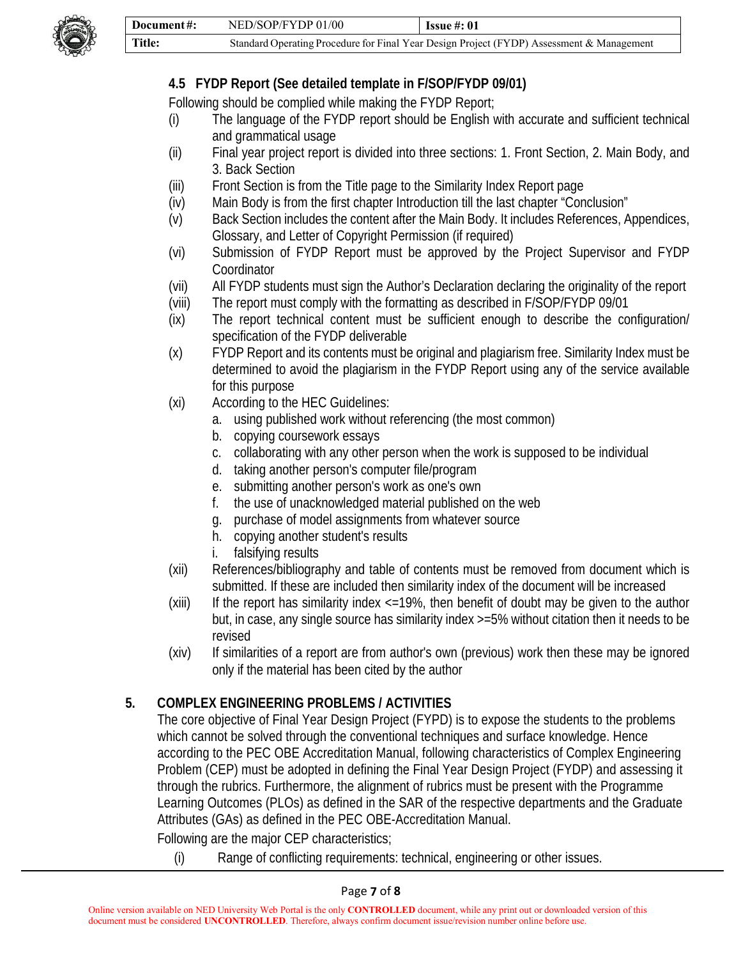

## **4.5 FYDP Report (See detailed template in F/SOP/FYDP 09/01)**

Following should be complied while making the FYDP Report;

- (i) The language of the FYDP report should be English with accurate and sufficient technical and grammatical usage
- (ii) Final year project report is divided into three sections: 1. Front Section, 2. Main Body, and 3. Back Section
- (iii) Front Section is from the Title page to the Similarity Index Report page
- (iv) Main Body is from the first chapter Introduction till the last chapter "Conclusion"
- (v) Back Section includes the content after the Main Body. It includes References, Appendices, Glossary, and Letter of Copyright Permission (if required)
- (vi) Submission of FYDP Report must be approved by the Project Supervisor and FYDP **Coordinator**
- (vii) All FYDP students must sign the Author's Declaration declaring the originality of the report
- (viii) The report must comply with the formatting as described in F/SOP/FYDP 09/01
- (ix) The report technical content must be sufficient enough to describe the configuration/ specification of the FYDP deliverable
- (x) FYDP Report and its contents must be original and plagiarism free. Similarity Index must be determined to avoid the plagiarism in the FYDP Report using any of the service available for this purpose
- (xi) According to the HEC Guidelines:
	- a. using published work without referencing (the most common)
	- b. copying coursework essays
	- c. collaborating with any other person when the work is supposed to be individual
	- d. taking another person's computer file/program
	- e. submitting another person's work as one's own
	- f. the use of unacknowledged material published on the web
	- g. purchase of model assignments from whatever source
	- h. copying another student's results
	- i. falsifying results
- (xii) References/bibliography and table of contents must be removed from document which is submitted. If these are included then similarity index of the document will be increased
- (xiii) If the report has similarity index <=19%, then benefit of doubt may be given to the author but, in case, any single source has similarity index >=5% without citation then it needs to be revised
- (xiv) If similarities of a report are from author's own (previous) work then these may be ignored only if the material has been cited by the author

#### **5. COMPLEX ENGINEERING PROBLEMS / ACTIVITIES**

The core objective of Final Year Design Project (FYPD) is to expose the students to the problems which cannot be solved through the conventional techniques and surface knowledge. Hence according to the PEC OBE Accreditation Manual, following characteristics of Complex Engineering Problem (CEP) must be adopted in defining the Final Year Design Project (FYDP) and assessing it through the rubrics. Furthermore, the alignment of rubrics must be present with the Programme Learning Outcomes (PLOs) as defined in the SAR of the respective departments and the Graduate Attributes (GAs) as defined in the PEC OBE-Accreditation Manual.

Following are the major CEP characteristics;

(i) Range of conflicting requirements: technical, engineering or other issues.